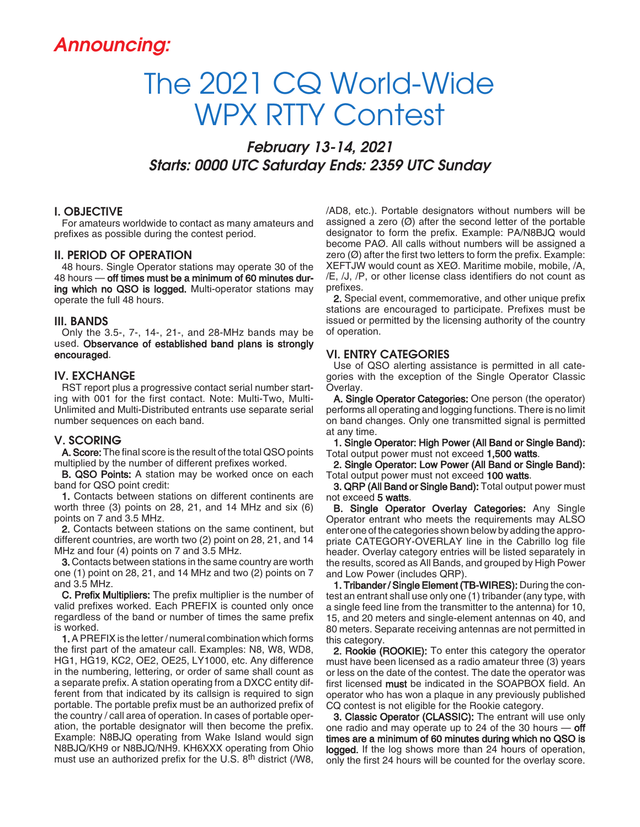# Announcing:

# The 2021 CQ World-Wide WPX RTTY Contest

February 13-14, 2021 Starts: 0000 UTC Saturday Ends: 2359 UTC Sunday

#### I. OBJECTIVE

For amateurs worldwide to contact as many amateurs and prefixes as possible during the contest period.

#### II. PERIOD OF OPERATION

48 hours. Single Operator stations may operate 30 of the 48 hours — off times must be a minimum of 60 minutes during which no QSO is logged. Multi-operator stations may operate the full 48 hours.

#### III. BANDS

Only the 3.5-, 7-, 14-, 21-, and 28-MHz bands may be used. Observance of established band plans is strongly encouraged.

#### IV. EXCHANGE

RST report plus a progressive contact serial number starting with 001 for the first contact. Note: Multi-Two, Multi-Unlimited and Multi-Distributed entrants use separate serial number sequences on each band.

#### V. SCORING

A. Score: The final score is the result of the total QSO points multiplied by the number of different prefixes worked.

**B. QSO Points:** A station may be worked once on each band for QSO point credit:

1. Contacts between stations on different continents are worth three (3) points on 28, 21, and 14 MHz and six (6) points on 7 and 3.5 MHz.

2. Contacts between stations on the same continent, but different countries, are worth two (2) point on 28, 21, and 14 MHz and four (4) points on 7 and 3.5 MHz.

3. Contacts between stations in the same country are worth one (1) point on 28, 21, and 14 MHz and two (2) points on 7 and 3.5 MHz.

C. Prefix Multipliers: The prefix multiplier is the number of valid prefixes worked. Each PREFIX is counted only once regardless of the band or number of times the same prefix is worked.

1. A PREFIX is the letter / numeral combination which forms the first part of the amateur call. Examples: N8, W8, WD8, HG1, HG19, KC2, OE2, OE25, LY1000, etc. Any difference in the numbering, lettering, or order of same shall count as a separate prefix. A station operating from a DXCC entity different from that indicated by its callsign is required to sign portable. The portable prefix must be an authorized prefix of the country / call area of operation. In cases of portable operation, the portable designator will then become the prefix. Example: N8BJQ operating from Wake Island would sign N8BJQ/KH9 or N8BJQ/NH9. KH6XXX operating from Ohio must use an authorized prefix for the U.S. 8<sup>th</sup> district (/W8,

/AD8, etc.). Portable designators without numbers will be assigned a zero  $(Ø)$  after the second letter of the portable designator to form the prefix. Example: PA/N8BJQ would become PAØ. All calls without numbers will be assigned a zero  $(\emptyset)$  after the first two letters to form the prefix. Example: XEFTJW would count as XEØ. Maritime mobile, mobile, /A, /E, /J, /P, or other license class identifiers do not count as prefixes.

2. Special event, commemorative, and other unique prefix stations are encouraged to participate. Prefixes must be issued or permitted by the licensing authority of the country of operation.

#### VI. ENTRY CATEGORIES

Use of QSO alerting assistance is permitted in all categories with the exception of the Single Operator Classic Overlay.

A. Single Operator Categories: One person (the operator) performs all operating and logging functions. There is no limit on band changes. Only one transmitted signal is permitted at any time.

1. Single Operator: High Power (All Band or Single Band): Total output power must not exceed 1,500 watts.

2. Single Operator: Low Power (All Band or Single Band): Total output power must not exceed 100 watts.

3. QRP (All Band or Single Band): Total output power must not exceed 5 watts.

B. Single Operator Overlay Categories: Any Single Operator entrant who meets the requirements may ALSO enter one of the categories shown below by adding the appropriate CATEGORY-OVERLAY line in the Cabrillo log file header. Overlay category entries will be listed separately in the results, scored as All Bands, and grouped by High Power and Low Power (includes QRP).

1. Tribander / Single Element (TB-WIRES): During the contest an entrant shall use only one (1) tribander (any type, with a single feed line from the transmitter to the antenna) for 10, 15, and 20 meters and single-element antennas on 40, and 80 meters. Separate receiving antennas are not permitted in this category.

2. Rookie (ROOKIE): To enter this category the operator must have been licensed as a radio amateur three (3) years or less on the date of the contest. The date the operator was first licensed must be indicated in the SOAPBOX field. An operator who has won a plaque in any previously published CQ contest is not eligible for the Rookie category.

3. Classic Operator (CLASSIC): The entrant will use only one radio and may operate up to 24 of the 30 hours  $-$  off times are a minimum of 60 minutes during which no QSO is logged. If the log shows more than 24 hours of operation, only the first 24 hours will be counted for the overlay score.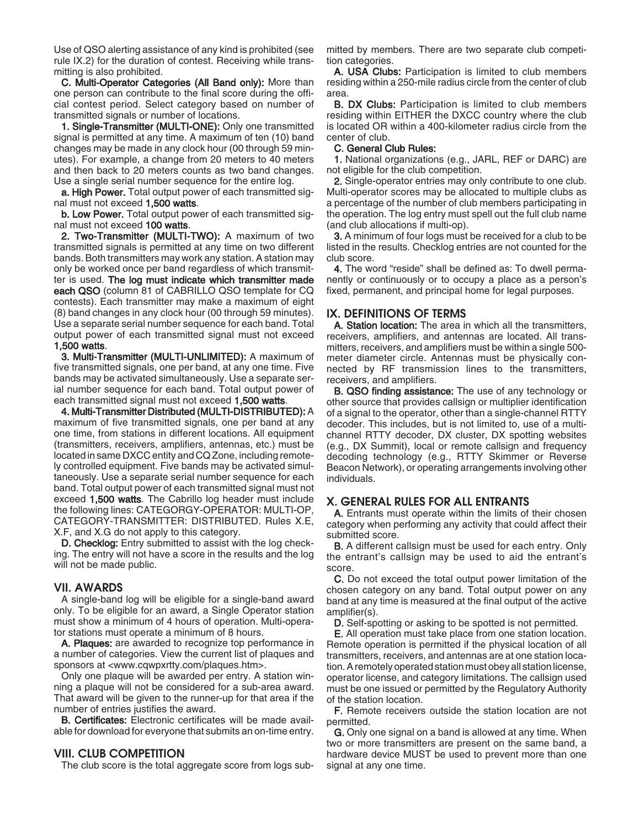Use of QSO alerting assistance of any kind is prohibited (see rule IX.2) for the duration of contest. Receiving while transmitting is also prohibited.

C. Multi-Operator Categories (All Band only): More than one person can contribute to the final score during the official contest period. Select category based on number of transmitted signals or number of locations.

1. Single-Transmitter (MULTI-ONE): Only one transmitted signal is permitted at any time. A maximum of ten (10) band changes may be made in any clock hour (00 through 59 minutes). For example, a change from 20 meters to 40 meters and then back to 20 meters counts as two band changes. Use a single serial number sequence for the entire log.

**a. High Power.** Total output power of each transmitted signal must not exceed 1,500 watts.

b. Low Power. Total output power of each transmitted signal must not exceed 100 watts.

2. Two-Transmitter (MULTI-TWO): A maximum of two transmitted signals is permitted at any time on two different bands. Both transmitters may work any station. A station may only be worked once per band regardless of which transmitter is used. The log must indicate which transmitter made each QSO (column 81 of CABRILLO QSO template for CQ contests). Each transmitter may make a maximum of eight (8) band changes in any clock hour (00 through 59 minutes). Use a separate serial number sequence for each band. Total output power of each transmitted signal must not exceed 1,500 watts.

3. Multi-Transmitter (MULTI-UNLIMITED): A maximum of five transmitted signals, one per band, at any one time. Five bands may be activated simultaneously. Use a separate serial number sequence for each band. Total output power of each transmitted signal must not exceed 1,500 watts.

4. Multi-Transmitter Distributed (MULTI-DISTRIBUTED): A maximum of five transmitted signals, one per band at any one time, from stations in different locations. All equipment (transmitters, receivers, amplifiers, antennas, etc.) must be located in same DXCC entity and CQ Zone, including remotely controlled equipment. Five bands may be activated simultaneously. Use a separate serial number sequence for each band. Total output power of each transmitted signal must not exceed 1,500 watts. The Cabrillo log header must include the following lines: CATEGORGY-OPERATOR: MULTI-OP, CATEGORY-TRANSMITTER: DISTRIBUTED. Rules X.E, X.F, and X.G do not apply to this category.

D. Checklog: Entry submitted to assist with the log checking. The entry will not have a score in the results and the log will not be made public.

#### VII. AWARDS

A single-band log will be eligible for a single-band award only. To be eligible for an award, a Single Operator station must show a minimum of 4 hours of operation. Multi-operator stations must operate a minimum of 8 hours.

A. Plaques: are awarded to recognize top performance in a number of categories. View the current list of plaques and sponsors at <www.cqwpxrtty.com/plaques.htm>.

Only one plaque will be awarded per entry. A station winning a plaque will not be considered for a sub-area award. That award will be given to the runner-up for that area if the number of entries justifies the award.

B. Certificates: Electronic certificates will be made available for download for everyone that submits an on-time entry.

#### VIII. CLUB COMPETITION

The club score is the total aggregate score from logs sub-

mitted by members. There are two separate club competition categories.

A. USA Clubs: Participation is limited to club members residing within a 250-mile radius circle from the center of club area.

**B. DX Clubs:** Participation is limited to club members residing within EITHER the DXCC country where the club is located OR within a 400-kilometer radius circle from the center of club.

#### C. General Club Rules:

1. National organizations (e.g., JARL, REF or DARC) are not eligible for the club competition.

2. Single-operator entries may only contribute to one club. Multi-operator scores may be allocated to multiple clubs as a percentage of the number of club members participating in the operation. The log entry must spell out the full club name (and club allocations if multi-op).

3. A minimum of four logs must be received for a club to be listed in the results. Checklog entries are not counted for the club score.

4. The word "reside" shall be defined as: To dwell permanently or continuously or to occupy a place as a person's fixed, permanent, and principal home for legal purposes.

## IX. DEFINITIONS OF TERMS

A. Station location: The area in which all the transmitters, receivers, amplifiers, and antennas are located. All transmitters, receivers, and amplifiers must be within a single 500 meter diameter circle. Antennas must be physically connected by RF transmission lines to the transmitters, receivers, and amplifiers.

B. QSO finding assistance: The use of any technology or other source that provides callsign or multiplier identification of a signal to the operator, other than a single-channel RTTY decoder. This includes, but is not limited to, use of a multichannel RTTY decoder, DX cluster, DX spotting websites (e.g., DX Summit), local or remote callsign and frequency decoding technology (e.g., RTTY Skimmer or Reverse Beacon Network), or operating arrangements involving other individuals.

#### X. GENERAL RULES FOR ALL ENTRANTS

A. Entrants must operate within the limits of their chosen category when performing any activity that could affect their submitted score.

B. A different callsign must be used for each entry. Only the entrant's callsign may be used to aid the entrant's score.

C. Do not exceed the total output power limitation of the chosen category on any band. Total output power on any band at any time is measured at the final output of the active amplifier(s).

D. Self-spotting or asking to be spotted is not permitted.

E. All operation must take place from one station location. Remote operation is permitted if the physical location of all transmitters, receivers, and antennas are at one station location. A remotely operated station must obey all station license, operator license, and category limitations. The callsign used must be one issued or permitted by the Regulatory Authority of the station location.

F. Remote receivers outside the station location are not permitted.

G. Only one signal on a band is allowed at any time. When two or more transmitters are present on the same band, a hardware device MUST be used to prevent more than one signal at any one time.